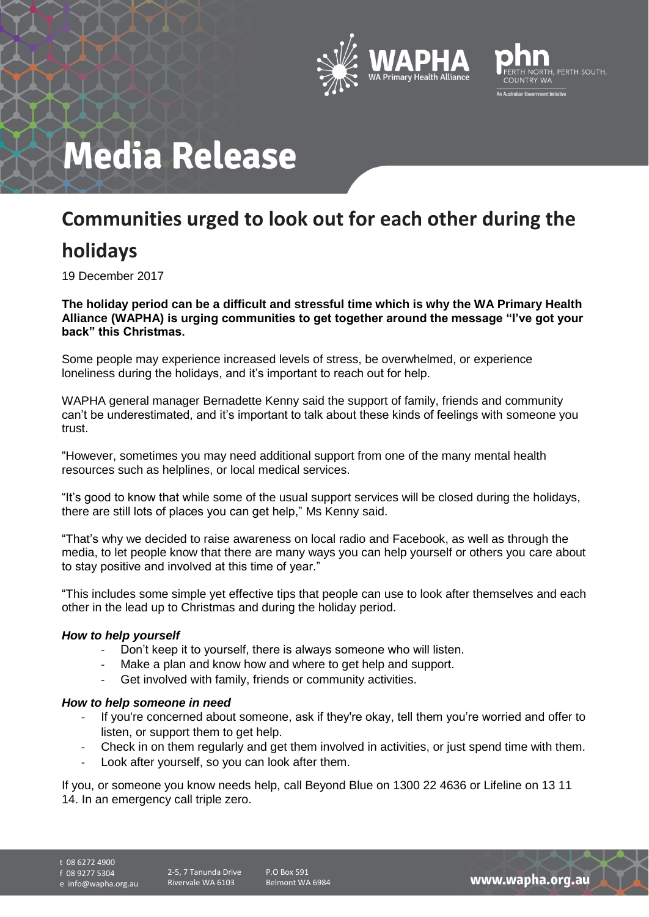



# **Media Release**

## **Communities urged to look out for each other during the**

## **holidays**

19 December 2017

**The holiday period can be a difficult and stressful time which is why the WA Primary Health Alliance (WAPHA) is urging communities to get together around the message "I've got your back" this Christmas.**

Some people may experience increased levels of stress, be overwhelmed, or experience loneliness during the holidays, and it's important to reach out for help.

WAPHA general manager Bernadette Kenny said the support of family, friends and community can't be underestimated, and it's important to talk about these kinds of feelings with someone you trust.

"However, sometimes you may need additional support from one of the many mental health resources such as helplines, or local medical services.

"It's good to know that while some of the usual support services will be closed during the holidays, there are still lots of places you can get help," Ms Kenny said.

"That's why we decided to raise awareness on local radio and Facebook, as well as through the media, to let people know that there are many ways you can help yourself or others you care about to stay positive and involved at this time of year."

"This includes some simple yet effective tips that people can use to look after themselves and each other in the lead up to Christmas and during the holiday period.

#### *How to help yourself*

- Don't keep it to yourself, there is always someone who will listen.
- Make a plan and know how and where to get help and support.
- Get involved with family, friends or community activities.

#### *How to help someone in need*

- If you're concerned about someone, ask if they're okay, tell them you're worried and offer to listen, or support them to get help.
- Check in on them regularly and get them involved in activities, or just spend time with them.
- Look after yourself, so you can look after them.

If you, or someone you know needs help, call Beyond Blue on 1300 22 4636 or Lifeline on 13 11 14. In an emergency call triple zero.

t 08 6272 4900

f 08 9277 5304

e info@wapha.org.au